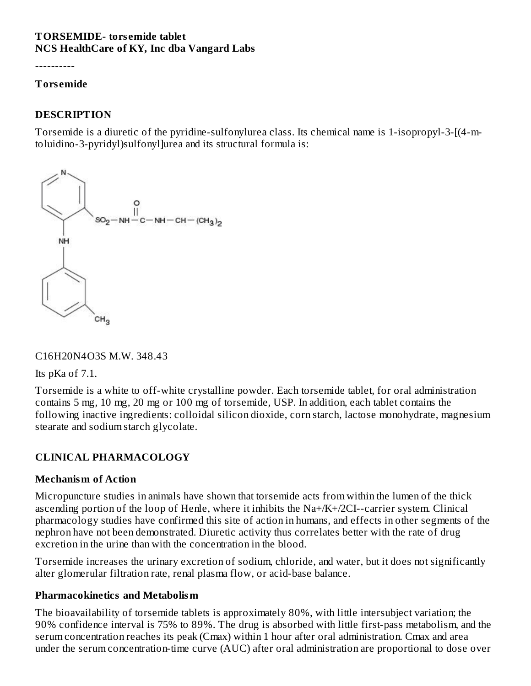#### **TORSEMIDE- tors emide tablet NCS HealthCare of KY, Inc dba Vangard Labs**

----------

#### **Tors emide**

### **DESCRIPTION**

Torsemide is a diuretic of the pyridine-sulfonylurea class. Its chemical name is 1-isopropyl-3-[(4-mtoluidino-3-pyridyl)sulfonyl]urea and its structural formula is:



C16H20N4O3S M.W. 348.43

Its pKa of 7.1.

Torsemide is a white to off-white crystalline powder. Each torsemide tablet, for oral administration contains 5 mg, 10 mg, 20 mg or 100 mg of torsemide, USP. In addition, each tablet contains the following inactive ingredients: colloidal silicon dioxide, corn starch, lactose monohydrate, magnesium stearate and sodium starch glycolate.

## **CLINICAL PHARMACOLOGY**

### **Mechanism of Action**

Micropuncture studies in animals have shown that torsemide acts from within the lumen of the thick ascending portion of the loop of Henle, where it inhibits the Na+/K+/2CI--carrier system. Clinical pharmacology studies have confirmed this site of action in humans, and effects in other segments of the nephron have not been demonstrated. Diuretic activity thus correlates better with the rate of drug excretion in the urine than with the concentration in the blood.

Torsemide increases the urinary excretion of sodium, chloride, and water, but it does not significantly alter glomerular filtration rate, renal plasma flow, or acid-base balance.

### **Pharmacokinetics and Metabolism**

The bioavailability of torsemide tablets is approximately 80%, with little intersubject variation; the 90% confidence interval is 75% to 89%. The drug is absorbed with little first-pass metabolism, and the serum concentration reaches its peak (Cmax) within 1 hour after oral administration. Cmax and area under the serum concentration-time curve (AUC) after oral administration are proportional to dose over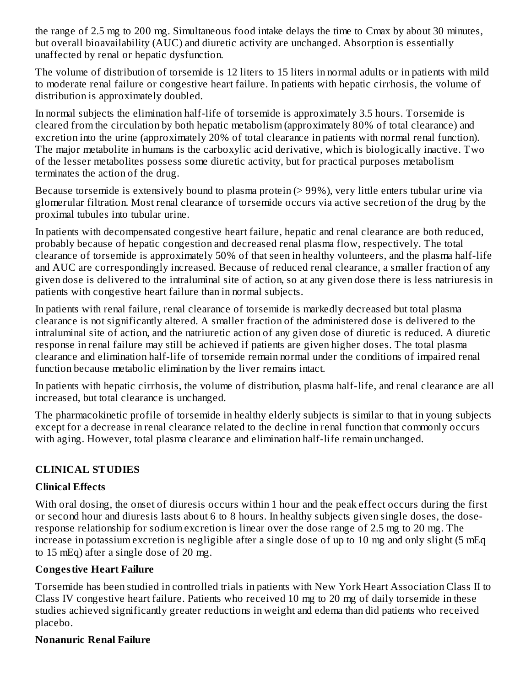the range of 2.5 mg to 200 mg. Simultaneous food intake delays the time to Cmax by about 30 minutes, but overall bioavailability (AUC) and diuretic activity are unchanged. Absorption is essentially unaffected by renal or hepatic dysfunction.

The volume of distribution of torsemide is 12 liters to 15 liters in normal adults or in patients with mild to moderate renal failure or congestive heart failure. In patients with hepatic cirrhosis, the volume of distribution is approximately doubled.

In normal subjects the elimination half-life of torsemide is approximately 3.5 hours. Torsemide is cleared from the circulation by both hepatic metabolism (approximately 80% of total clearance) and excretion into the urine (approximately 20% of total clearance in patients with normal renal function). The major metabolite in humans is the carboxylic acid derivative, which is biologically inactive. Two of the lesser metabolites possess some diuretic activity, but for practical purposes metabolism terminates the action of the drug.

Because torsemide is extensively bound to plasma protein (> 99%), very little enters tubular urine via glomerular filtration. Most renal clearance of torsemide occurs via active secretion of the drug by the proximal tubules into tubular urine.

In patients with decompensated congestive heart failure, hepatic and renal clearance are both reduced, probably because of hepatic congestion and decreased renal plasma flow, respectively. The total clearance of torsemide is approximately 50% of that seen in healthy volunteers, and the plasma half-life and AUC are correspondingly increased. Because of reduced renal clearance, a smaller fraction of any given dose is delivered to the intraluminal site of action, so at any given dose there is less natriuresis in patients with congestive heart failure than in normal subjects.

In patients with renal failure, renal clearance of torsemide is markedly decreased but total plasma clearance is not significantly altered. A smaller fraction of the administered dose is delivered to the intraluminal site of action, and the natriuretic action of any given dose of diuretic is reduced. A diuretic response in renal failure may still be achieved if patients are given higher doses. The total plasma clearance and elimination half-life of torsemide remain normal under the conditions of impaired renal function because metabolic elimination by the liver remains intact.

In patients with hepatic cirrhosis, the volume of distribution, plasma half-life, and renal clearance are all increased, but total clearance is unchanged.

The pharmacokinetic profile of torsemide in healthy elderly subjects is similar to that in young subjects except for a decrease in renal clearance related to the decline in renal function that commonly occurs with aging. However, total plasma clearance and elimination half-life remain unchanged.

## **CLINICAL STUDIES**

### **Clinical Effects**

With oral dosing, the onset of diuresis occurs within 1 hour and the peak effect occurs during the first or second hour and diuresis lasts about 6 to 8 hours. In healthy subjects given single doses, the doseresponse relationship for sodium excretion is linear over the dose range of 2.5 mg to 20 mg. The increase in potassium excretion is negligible after a single dose of up to 10 mg and only slight (5 mEq to 15 mEq) after a single dose of 20 mg.

## **Congestive Heart Failure**

Torsemide has been studied in controlled trials in patients with New York Heart Association Class II to Class IV congestive heart failure. Patients who received 10 mg to 20 mg of daily torsemide in these studies achieved significantly greater reductions in weight and edema than did patients who received placebo.

### **Nonanuric Renal Failure**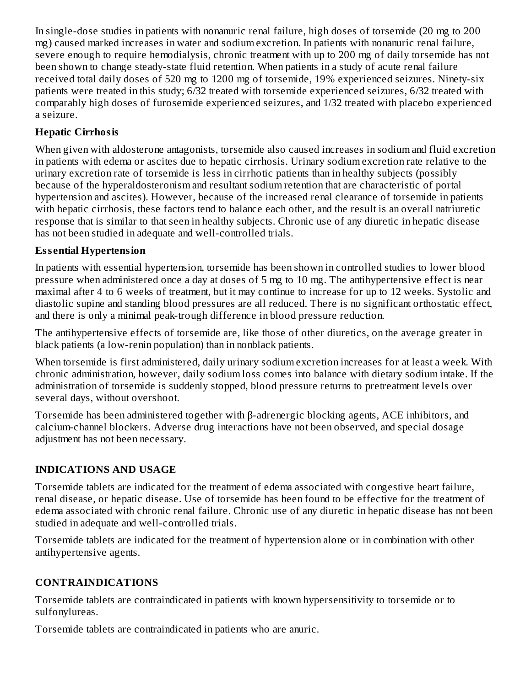In single-dose studies in patients with nonanuric renal failure, high doses of torsemide (20 mg to 200 mg) caused marked increases in water and sodium excretion. In patients with nonanuric renal failure, severe enough to require hemodialysis, chronic treatment with up to 200 mg of daily torsemide has not been shown to change steady-state fluid retention. When patients in a study of acute renal failure received total daily doses of 520 mg to 1200 mg of torsemide, 19% experienced seizures. Ninety-six patients were treated in this study; 6/32 treated with torsemide experienced seizures, 6/32 treated with comparably high doses of furosemide experienced seizures, and 1/32 treated with placebo experienced a seizure.

## **Hepatic Cirrhosis**

When given with aldosterone antagonists, torsemide also caused increases in sodium and fluid excretion in patients with edema or ascites due to hepatic cirrhosis. Urinary sodium excretion rate relative to the urinary excretion rate of torsemide is less in cirrhotic patients than in healthy subjects (possibly because of the hyperaldosteronism and resultant sodium retention that are characteristic of portal hypertension and ascites). However, because of the increased renal clearance of torsemide in patients with hepatic cirrhosis, these factors tend to balance each other, and the result is an overall natriuretic response that is similar to that seen in healthy subjects. Chronic use of any diuretic in hepatic disease has not been studied in adequate and well-controlled trials.

## **Ess ential Hypertension**

In patients with essential hypertension, torsemide has been shown in controlled studies to lower blood pressure when administered once a day at doses of 5 mg to 10 mg. The antihypertensive effect is near maximal after 4 to 6 weeks of treatment, but it may continue to increase for up to 12 weeks. Systolic and diastolic supine and standing blood pressures are all reduced. There is no significant orthostatic effect, and there is only a minimal peak-trough difference in blood pressure reduction.

The antihypertensive effects of torsemide are, like those of other diuretics, on the average greater in black patients (a low-renin population) than in nonblack patients.

When torsemide is first administered, daily urinary sodium excretion increases for at least a week. With chronic administration, however, daily sodium loss comes into balance with dietary sodium intake. If the administration of torsemide is suddenly stopped, blood pressure returns to pretreatment levels over several days, without overshoot.

Torsemide has been administered together with β-adrenergic blocking agents, ACE inhibitors, and calcium-channel blockers. Adverse drug interactions have not been observed, and special dosage adjustment has not been necessary.

## **INDICATIONS AND USAGE**

Torsemide tablets are indicated for the treatment of edema associated with congestive heart failure, renal disease, or hepatic disease. Use of torsemide has been found to be effective for the treatment of edema associated with chronic renal failure. Chronic use of any diuretic in hepatic disease has not been studied in adequate and well-controlled trials.

Torsemide tablets are indicated for the treatment of hypertension alone or in combination with other antihypertensive agents.

## **CONTRAINDICATIONS**

Torsemide tablets are contraindicated in patients with known hypersensitivity to torsemide or to sulfonylureas.

Torsemide tablets are contraindicated in patients who are anuric.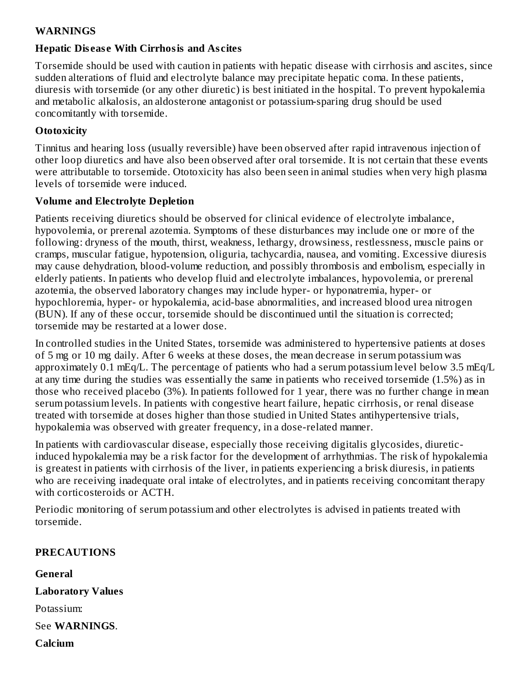### **WARNINGS**

### **Hepatic Dis eas e With Cirrhosis and As cites**

Torsemide should be used with caution in patients with hepatic disease with cirrhosis and ascites, since sudden alterations of fluid and electrolyte balance may precipitate hepatic coma. In these patients, diuresis with torsemide (or any other diuretic) is best initiated in the hospital. To prevent hypokalemia and metabolic alkalosis, an aldosterone antagonist or potassium-sparing drug should be used concomitantly with torsemide.

### **Ototoxicity**

Tinnitus and hearing loss (usually reversible) have been observed after rapid intravenous injection of other loop diuretics and have also been observed after oral torsemide. It is not certain that these events were attributable to torsemide. Ototoxicity has also been seen in animal studies when very high plasma levels of torsemide were induced.

#### **Volume and Electrolyte Depletion**

Patients receiving diuretics should be observed for clinical evidence of electrolyte imbalance, hypovolemia, or prerenal azotemia. Symptoms of these disturbances may include one or more of the following: dryness of the mouth, thirst, weakness, lethargy, drowsiness, restlessness, muscle pains or cramps, muscular fatigue, hypotension, oliguria, tachycardia, nausea, and vomiting. Excessive diuresis may cause dehydration, blood-volume reduction, and possibly thrombosis and embolism, especially in elderly patients. In patients who develop fluid and electrolyte imbalances, hypovolemia, or prerenal azotemia, the observed laboratory changes may include hyper- or hyponatremia, hyper- or hypochloremia, hyper- or hypokalemia, acid-base abnormalities, and increased blood urea nitrogen (BUN). If any of these occur, torsemide should be discontinued until the situation is corrected; torsemide may be restarted at a lower dose.

In controlled studies in the United States, torsemide was administered to hypertensive patients at doses of 5 mg or 10 mg daily. After 6 weeks at these doses, the mean decrease in serum potassium was approximately 0.1 mEq/L. The percentage of patients who had a serum potassium level below 3.5 mEq/L at any time during the studies was essentially the same in patients who received torsemide (1.5%) as in those who received placebo (3%). In patients followed for 1 year, there was no further change in mean serum potassium levels. In patients with congestive heart failure, hepatic cirrhosis, or renal disease treated with torsemide at doses higher than those studied in United States antihypertensive trials, hypokalemia was observed with greater frequency, in a dose-related manner.

In patients with cardiovascular disease, especially those receiving digitalis glycosides, diureticinduced hypokalemia may be a risk factor for the development of arrhythmias. The risk of hypokalemia is greatest in patients with cirrhosis of the liver, in patients experiencing a brisk diuresis, in patients who are receiving inadequate oral intake of electrolytes, and in patients receiving concomitant therapy with corticosteroids or ACTH.

Periodic monitoring of serum potassium and other electrolytes is advised in patients treated with torsemide.

#### **PRECAUTIONS**

**General Laboratory Values** Potassium: See **WARNINGS**. **Calcium**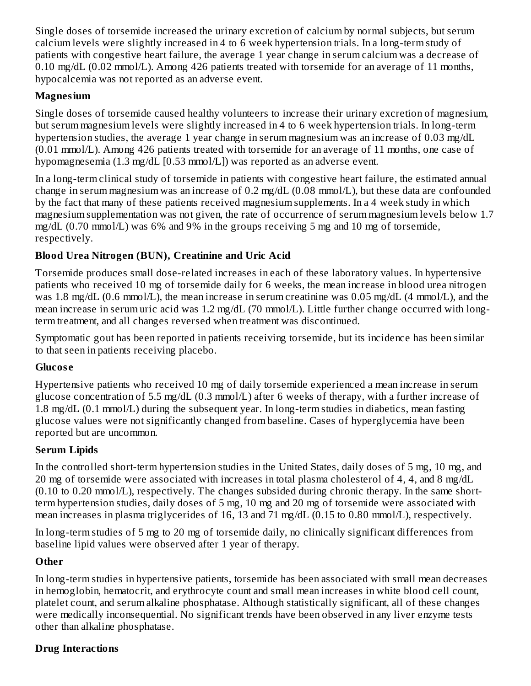Single doses of torsemide increased the urinary excretion of calcium by normal subjects, but serum calcium levels were slightly increased in 4 to 6 week hypertension trials. In a long-term study of patients with congestive heart failure, the average 1 year change in serum calcium was a decrease of 0.10 mg/dL (0.02 mmol/L). Among 426 patients treated with torsemide for an average of 11 months, hypocalcemia was not reported as an adverse event.

### **Magnesium**

Single doses of torsemide caused healthy volunteers to increase their urinary excretion of magnesium, but serum magnesium levels were slightly increased in 4 to 6 week hypertension trials. In long-term hypertension studies, the average 1 year change in serum magnesium was an increase of 0.03 mg/dL (0.01 mmol/L). Among 426 patients treated with torsemide for an average of 11 months, one case of hypomagnesemia (1.3 mg/dL [0.53 mmol/L]) was reported as an adverse event.

In a long-term clinical study of torsemide in patients with congestive heart failure, the estimated annual change in serum magnesium was an increase of 0.2 mg/dL (0.08 mmol/L), but these data are confounded by the fact that many of these patients received magnesium supplements. In a 4 week study in which magnesium supplementation was not given, the rate of occurrence of serum magnesium levels below 1.7 mg/dL (0.70 mmol/L) was 6% and 9% in the groups receiving 5 mg and 10 mg of torsemide, respectively.

## **Blood Urea Nitrogen (BUN), Creatinine and Uric Acid**

Torsemide produces small dose-related increases in each of these laboratory values. In hypertensive patients who received 10 mg of torsemide daily for 6 weeks, the mean increase in blood urea nitrogen was 1.8 mg/dL (0.6 mmol/L), the mean increase in serum creatinine was 0.05 mg/dL (4 mmol/L), and the mean increase in serum uric acid was 1.2 mg/dL (70 mmol/L). Little further change occurred with longterm treatment, and all changes reversed when treatment was discontinued.

Symptomatic gout has been reported in patients receiving torsemide, but its incidence has been similar to that seen in patients receiving placebo.

## **Glucos e**

Hypertensive patients who received 10 mg of daily torsemide experienced a mean increase in serum glucose concentration of 5.5 mg/dL (0.3 mmol/L) after 6 weeks of therapy, with a further increase of 1.8 mg/dL (0.1 mmol/L) during the subsequent year. In long-term studies in diabetics, mean fasting glucose values were not significantly changed from baseline. Cases of hyperglycemia have been reported but are uncommon.

## **Serum Lipids**

In the controlled short-term hypertension studies in the United States, daily doses of 5 mg, 10 mg, and 20 mg of torsemide were associated with increases in total plasma cholesterol of 4, 4, and 8 mg/dL (0.10 to 0.20 mmol/L), respectively. The changes subsided during chronic therapy. In the same shortterm hypertension studies, daily doses of 5 mg, 10 mg and 20 mg of torsemide were associated with mean increases in plasma triglycerides of 16, 13 and 71 mg/dL (0.15 to 0.80 mmol/L), respectively.

In long-term studies of 5 mg to 20 mg of torsemide daily, no clinically significant differences from baseline lipid values were observed after 1 year of therapy.

## **Other**

In long-term studies in hypertensive patients, torsemide has been associated with small mean decreases in hemoglobin, hematocrit, and erythrocyte count and small mean increases in white blood cell count, platelet count, and serum alkaline phosphatase. Although statistically significant, all of these changes were medically inconsequential. No significant trends have been observed in any liver enzyme tests other than alkaline phosphatase.

## **Drug Interactions**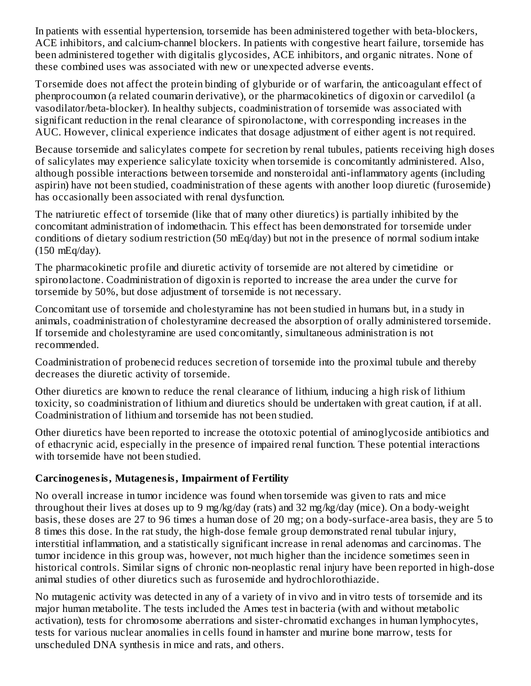In patients with essential hypertension, torsemide has been administered together with beta-blockers, ACE inhibitors, and calcium-channel blockers. In patients with congestive heart failure, torsemide has been administered together with digitalis glycosides, ACE inhibitors, and organic nitrates. None of these combined uses was associated with new or unexpected adverse events.

Torsemide does not affect the protein binding of glyburide or of warfarin, the anticoagulant effect of phenprocoumon (a related coumarin derivative), or the pharmacokinetics of digoxin or carvedilol (a vasodilator/beta-blocker). In healthy subjects, coadministration of torsemide was associated with significant reduction in the renal clearance of spironolactone, with corresponding increases in the AUC. However, clinical experience indicates that dosage adjustment of either agent is not required.

Because torsemide and salicylates compete for secretion by renal tubules, patients receiving high doses of salicylates may experience salicylate toxicity when torsemide is concomitantly administered. Also, although possible interactions between torsemide and nonsteroidal anti-inflammatory agents (including aspirin) have not been studied, coadministration of these agents with another loop diuretic (furosemide) has occasionally been associated with renal dysfunction.

The natriuretic effect of torsemide (like that of many other diuretics) is partially inhibited by the concomitant administration of indomethacin. This effect has been demonstrated for torsemide under conditions of dietary sodium restriction (50 mEq/day) but not in the presence of normal sodium intake (150 mEq/day).

The pharmacokinetic profile and diuretic activity of torsemide are not altered by cimetidine or spironolactone. Coadministration of digoxin is reported to increase the area under the curve for torsemide by 50%, but dose adjustment of torsemide is not necessary.

Concomitant use of torsemide and cholestyramine has not been studied in humans but, in a study in animals, coadministration of cholestyramine decreased the absorption of orally administered torsemide. If torsemide and cholestyramine are used concomitantly, simultaneous administration is not recommended.

Coadministration of probenecid reduces secretion of torsemide into the proximal tubule and thereby decreases the diuretic activity of torsemide.

Other diuretics are known to reduce the renal clearance of lithium, inducing a high risk of lithium toxicity, so coadministration of lithium and diuretics should be undertaken with great caution, if at all. Coadministration of lithium and torsemide has not been studied.

Other diuretics have been reported to increase the ototoxic potential of aminoglycoside antibiotics and of ethacrynic acid, especially in the presence of impaired renal function. These potential interactions with torsemide have not been studied.

## **Carcinogenesis, Mutagenesis, Impairment of Fertility**

No overall increase in tumor incidence was found when torsemide was given to rats and mice throughout their lives at doses up to 9 mg/kg/day (rats) and 32 mg/kg/day (mice). On a body-weight basis, these doses are 27 to 96 times a human dose of 20 mg; on a body-surface-area basis, they are 5 to 8 times this dose. In the rat study, the high-dose female group demonstrated renal tubular injury, interstitial inflammation, and a statistically significant increase in renal adenomas and carcinomas. The tumor incidence in this group was, however, not much higher than the incidence sometimes seen in historical controls. Similar signs of chronic non-neoplastic renal injury have been reported in high-dose animal studies of other diuretics such as furosemide and hydrochlorothiazide.

No mutagenic activity was detected in any of a variety of in vivo and in vitro tests of torsemide and its major human metabolite. The tests included the Ames test in bacteria (with and without metabolic activation), tests for chromosome aberrations and sister-chromatid exchanges in human lymphocytes, tests for various nuclear anomalies in cells found in hamster and murine bone marrow, tests for unscheduled DNA synthesis in mice and rats, and others.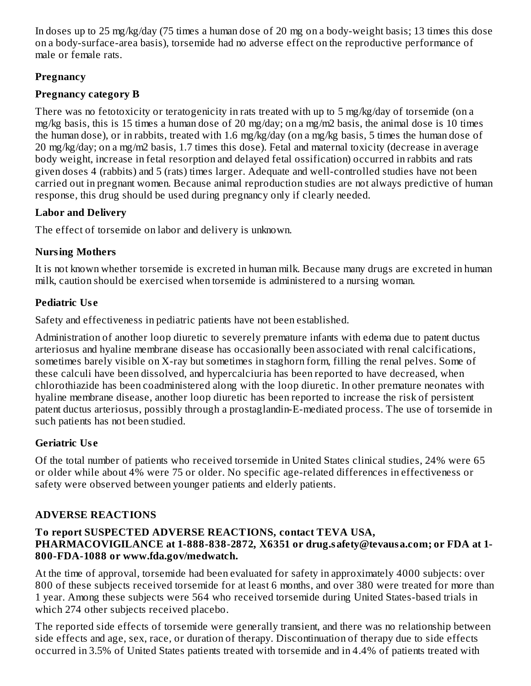In doses up to 25 mg/kg/day (75 times a human dose of 20 mg on a body-weight basis; 13 times this dose on a body-surface-area basis), torsemide had no adverse effect on the reproductive performance of male or female rats.

## **Pregnancy**

## **Pregnancy category B**

There was no fetotoxicity or teratogenicity in rats treated with up to 5 mg/kg/day of torsemide (on a mg/kg basis, this is 15 times a human dose of 20 mg/day; on a mg/m2 basis, the animal dose is 10 times the human dose), or in rabbits, treated with 1.6 mg/kg/day (on a mg/kg basis, 5 times the human dose of 20 mg/kg/day; on a mg/m2 basis, 1.7 times this dose). Fetal and maternal toxicity (decrease in average body weight, increase in fetal resorption and delayed fetal ossification) occurred in rabbits and rats given doses 4 (rabbits) and 5 (rats) times larger. Adequate and well-controlled studies have not been carried out in pregnant women. Because animal reproduction studies are not always predictive of human response, this drug should be used during pregnancy only if clearly needed.

## **Labor and Delivery**

The effect of torsemide on labor and delivery is unknown.

## **Nursing Mothers**

It is not known whether torsemide is excreted in human milk. Because many drugs are excreted in human milk, caution should be exercised when torsemide is administered to a nursing woman.

## **Pediatric Us e**

Safety and effectiveness in pediatric patients have not been established.

Administration of another loop diuretic to severely premature infants with edema due to patent ductus arteriosus and hyaline membrane disease has occasionally been associated with renal calcifications, sometimes barely visible on X-ray but sometimes in staghorn form, filling the renal pelves. Some of these calculi have been dissolved, and hypercalciuria has been reported to have decreased, when chlorothiazide has been coadministered along with the loop diuretic. In other premature neonates with hyaline membrane disease, another loop diuretic has been reported to increase the risk of persistent patent ductus arteriosus, possibly through a prostaglandin-E-mediated process. The use of torsemide in such patients has not been studied.

## **Geriatric Us e**

Of the total number of patients who received torsemide in United States clinical studies, 24% were 65 or older while about 4% were 75 or older. No specific age-related differences in effectiveness or safety were observed between younger patients and elderly patients.

## **ADVERSE REACTIONS**

### **To report SUSPECTED ADVERSE REACTIONS, contact TEVA USA, PHARMACOVIGILANCE at 1-888-838-2872, X6351 or drug.safety@tevausa.com; or FDA at 1- 800-FDA-1088 or www.fda.gov/medwatch.**

At the time of approval, torsemide had been evaluated for safety in approximately 4000 subjects: over 800 of these subjects received torsemide for at least 6 months, and over 380 were treated for more than 1 year. Among these subjects were 564 who received torsemide during United States-based trials in which 274 other subjects received placebo.

The reported side effects of torsemide were generally transient, and there was no relationship between side effects and age, sex, race, or duration of therapy. Discontinuation of therapy due to side effects occurred in 3.5% of United States patients treated with torsemide and in 4.4% of patients treated with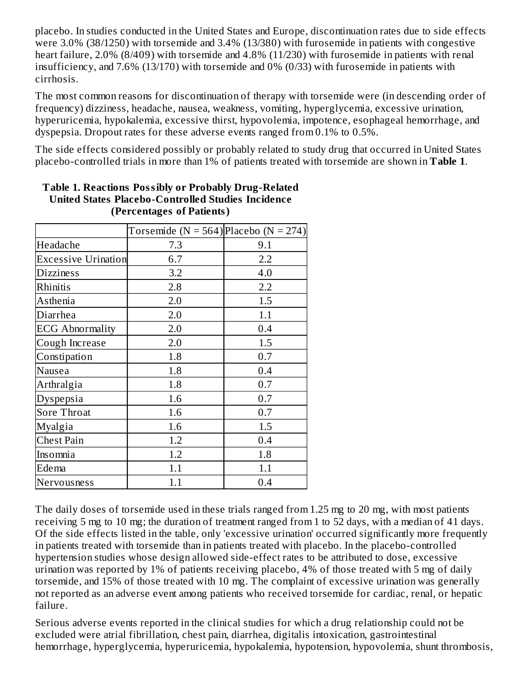placebo. In studies conducted in the United States and Europe, discontinuation rates due to side effects were 3.0% (38/1250) with torsemide and 3.4% (13/380) with furosemide in patients with congestive heart failure, 2.0% (8/409) with torsemide and 4.8% (11/230) with furosemide in patients with renal insufficiency, and 7.6% (13/170) with torsemide and 0% (0/33) with furosemide in patients with cirrhosis.

The most common reasons for discontinuation of therapy with torsemide were (in descending order of frequency) dizziness, headache, nausea, weakness, vomiting, hyperglycemia, excessive urination, hyperuricemia, hypokalemia, excessive thirst, hypovolemia, impotence, esophageal hemorrhage, and dyspepsia. Dropout rates for these adverse events ranged from 0.1% to 0.5%.

The side effects considered possibly or probably related to study drug that occurred in United States placebo-controlled trials in more than 1% of patients treated with torsemide are shown in **Table 1**.

| Torsemide (N = 564) Placebo (N = 274) |     |
|---------------------------------------|-----|
| 7.3                                   | 9.1 |
| 6.7<br><b>Excessive Urination</b>     | 2.2 |
| 3.2                                   | 4.0 |
| 2.8                                   | 2.2 |
| 2.0                                   | 1.5 |
| 2.0                                   | 1.1 |
| 2.0                                   | 0.4 |
| 2.0                                   | 1.5 |
| 1.8                                   | 0.7 |
| 1.8                                   | 0.4 |
| 1.8                                   | 0.7 |
| 1.6                                   | 0.7 |
| 1.6                                   | 0.7 |
| 1.6                                   | 1.5 |
| 1.2                                   | 0.4 |
| 1.2                                   | 1.8 |
| 1.1                                   | 1.1 |
| 1.1                                   | 0.4 |
|                                       |     |

#### **Table 1. Reactions Possibly or Probably Drug-Related United States Placebo-Controlled Studies Incidence (Percentages of Patients)**

The daily doses of torsemide used in these trials ranged from 1.25 mg to 20 mg, with most patients receiving 5 mg to 10 mg; the duration of treatment ranged from 1 to 52 days, with a median of 41 days. Of the side effects listed in the table, only 'excessive urination' occurred significantly more frequently in patients treated with torsemide than in patients treated with placebo. In the placebo-controlled hypertension studies whose design allowed side-effect rates to be attributed to dose, excessive urination was reported by 1% of patients receiving placebo, 4% of those treated with 5 mg of daily torsemide, and 15% of those treated with 10 mg. The complaint of excessive urination was generally not reported as an adverse event among patients who received torsemide for cardiac, renal, or hepatic failure.

Serious adverse events reported in the clinical studies for which a drug relationship could not be excluded were atrial fibrillation, chest pain, diarrhea, digitalis intoxication, gastrointestinal hemorrhage, hyperglycemia, hyperuricemia, hypokalemia, hypotension, hypovolemia, shunt thrombosis,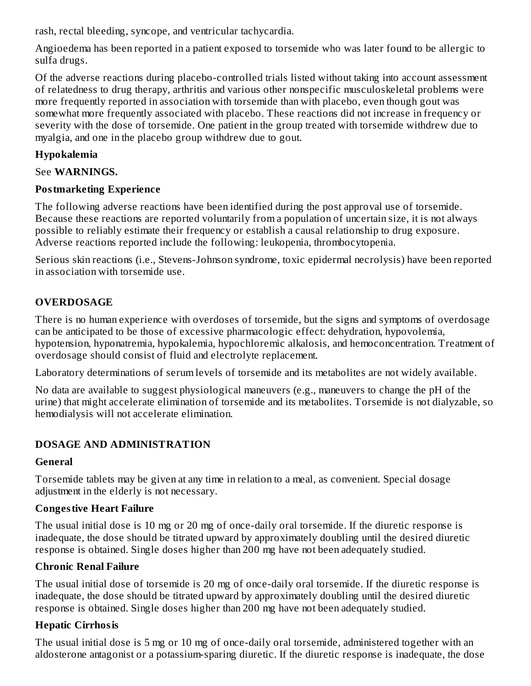rash, rectal bleeding, syncope, and ventricular tachycardia.

Angioedema has been reported in a patient exposed to torsemide who was later found to be allergic to sulfa drugs.

Of the adverse reactions during placebo-controlled trials listed without taking into account assessment of relatedness to drug therapy, arthritis and various other nonspecific musculoskeletal problems were more frequently reported in association with torsemide than with placebo, even though gout was somewhat more frequently associated with placebo. These reactions did not increase in frequency or severity with the dose of torsemide. One patient in the group treated with torsemide withdrew due to myalgia, and one in the placebo group withdrew due to gout.

## **Hypokalemia**

### See **WARNINGS.**

## **Postmarketing Experience**

The following adverse reactions have been identified during the post approval use of torsemide. Because these reactions are reported voluntarily from a population of uncertain size, it is not always possible to reliably estimate their frequency or establish a causal relationship to drug exposure. Adverse reactions reported include the following: leukopenia, thrombocytopenia.

Serious skin reactions (i.e., Stevens-Johnson syndrome, toxic epidermal necrolysis) have been reported in association with torsemide use.

## **OVERDOSAGE**

There is no human experience with overdoses of torsemide, but the signs and symptoms of overdosage can be anticipated to be those of excessive pharmacologic effect: dehydration, hypovolemia, hypotension, hyponatremia, hypokalemia, hypochloremic alkalosis, and hemoconcentration. Treatment of overdosage should consist of fluid and electrolyte replacement.

Laboratory determinations of serum levels of torsemide and its metabolites are not widely available.

No data are available to suggest physiological maneuvers (e.g., maneuvers to change the pH of the urine) that might accelerate elimination of torsemide and its metabolites. Torsemide is not dialyzable, so hemodialysis will not accelerate elimination.

## **DOSAGE AND ADMINISTRATION**

## **General**

Torsemide tablets may be given at any time in relation to a meal, as convenient. Special dosage adjustment in the elderly is not necessary.

## **Congestive Heart Failure**

The usual initial dose is 10 mg or 20 mg of once-daily oral torsemide. If the diuretic response is inadequate, the dose should be titrated upward by approximately doubling until the desired diuretic response is obtained. Single doses higher than 200 mg have not been adequately studied.

## **Chronic Renal Failure**

The usual initial dose of torsemide is 20 mg of once-daily oral torsemide. If the diuretic response is inadequate, the dose should be titrated upward by approximately doubling until the desired diuretic response is obtained. Single doses higher than 200 mg have not been adequately studied.

## **Hepatic Cirrhosis**

The usual initial dose is 5 mg or 10 mg of once-daily oral torsemide, administered together with an aldosterone antagonist or a potassium-sparing diuretic. If the diuretic response is inadequate, the dose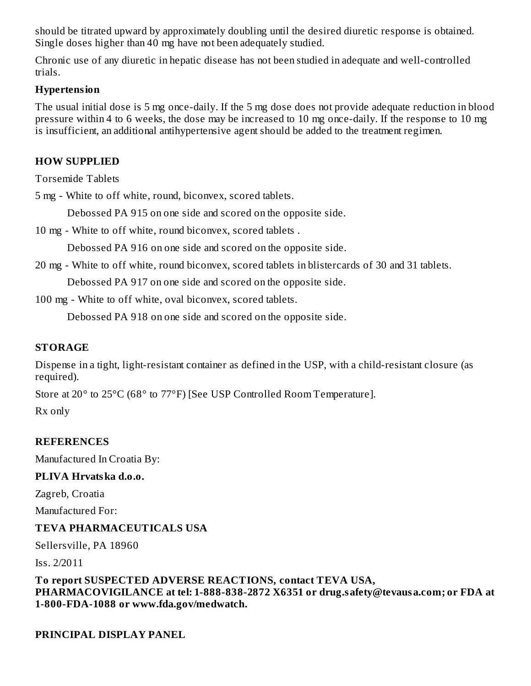should be titrated upward by approximately doubling until the desired diuretic response is obtained. Single doses higher than 40 mg have not been adequately studied.

Chronic use of any diuretic in hepatic disease has not been studied in adequate and well-controlled trials.

### **Hypertension**

The usual initial dose is 5 mg once-daily. If the 5 mg dose does not provide adequate reduction in blood pressure within 4 to 6 weeks, the dose may be increased to 10 mg once-daily. If the response to 10 mg is insufficient, an additional antihypertensive agent should be added to the treatment regimen.

### **HOW SUPPLIED**

Torsemide Tablets

5 mg - White to off white, round, biconvex, scored tablets.

Debossed PA 915 on one side and scored on the opposite side.

10 mg - White to off white, round biconvex, scored tablets .

Debossed PA 916 on one side and scored on the opposite side.

20 mg - White to off white, round biconvex, scored tablets in blistercards of 30 and 31 tablets.

Debossed PA 917 on one side and scored on the opposite side.

100 mg - White to off white, oval biconvex, scored tablets.

Debossed PA 918 on one side and scored on the opposite side.

### **STORAGE**

Dispense in a tight, light-resistant container as defined in the USP, with a child-resistant closure (as required).

Store at 20° to 25°C (68° to 77°F) [See USP Controlled Room Temperature].

Rx only

#### **REFERENCES**

Manufactured In Croatia By:

### **PLIVA Hrvatska d.o.o.**

Zagreb, Croatia

Manufactured For:

### **TEVA PHARMACEUTICALS USA**

Sellersville, PA 18960

Iss. 2/2011

**To report SUSPECTED ADVERSE REACTIONS, contact TEVA USA, PHARMACOVIGILANCE at tel: 1-888-838-2872 X6351 or drug.safety@tevausa.com; or FDA at 1-800-FDA-1088 or www.fda.gov/medwatch.**

#### **PRINCIPAL DISPLAY PANEL**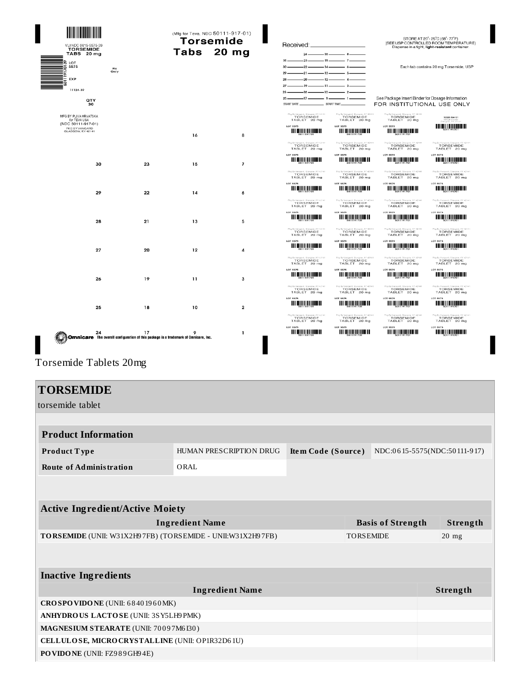| VLI NDC 0615-5575-39<br><b>TORSEMIDE</b><br>TABS 20 mg<br>LOT<br>5575<br>EXP | Rx<br>Only                                                                                 |    | (Mfg for Teva, NDC 50111-917-01)<br>Torsemide<br>Tabs 20 mg | Received:<br>24 <sub>1</sub><br>$.16 -$<br>$-23$<br>$31 -$<br>$-15-$<br>$-22-$<br>$30 -$<br>$-21-$<br>$29 -$<br>$-13-$<br>28<br>$-20.$<br>$-12-$<br>$27 -$<br>$-19-$<br>-11 - |                                                                                      |                                                                                      | STORE AT 20°-25°C (68°-77°F)<br><b>ISEE USP CONTROLLED ROOM TEMPERATURE)</b><br>Dispense in a tight, light-resistant container.<br>Each tab contains 20 mg Torsemide, USP |
|------------------------------------------------------------------------------|--------------------------------------------------------------------------------------------|----|-------------------------------------------------------------|-------------------------------------------------------------------------------------------------------------------------------------------------------------------------------|--------------------------------------------------------------------------------------|--------------------------------------------------------------------------------------|---------------------------------------------------------------------------------------------------------------------------------------------------------------------------|
| 11124-39<br>QTY<br>30                                                        |                                                                                            |    |                                                             | 26<br>$-10-$<br>25<br>START DATE _                                                                                                                                            | START TIME                                                                           | See Package Insert Binder for Dosage Information<br>FOR INSTITUTIONAL USE ONLY       |                                                                                                                                                                           |
| MFG BY PLIVA HRVATSKA<br>for TEVA USA                                        |                                                                                            |    |                                                             | Pkg By Yangard, Glasgow, KY 42141<br><b>TORSEMIDE</b><br>TABLET 20 mg                                                                                                         | Pkg By Vangard, Glazgow, KY 42141<br>TORSEMIDE<br>TABLET 20 mg                       | Pkg By Yangard, Glasgow, KY 42141<br><b>TORSEMIDE</b><br>TABLET 20 mg                | 10326 Rev 01                                                                                                                                                              |
| (NDC 50111-917-01)<br>PKG BY VANGARD<br>GLASGOW, KY 42141                    |                                                                                            | 16 | 8                                                           | <b>LOT 5575</b><br><u> 111   111   111   111   111</u>                                                                                                                        | <b>LOT 5575</b>                                                                      | <b>LOT 5575</b>                                                                      |                                                                                                                                                                           |
|                                                                              |                                                                                            |    |                                                             | Pkg By Vangerd, Gle<br>00W. KY 42141<br>TORSEMIDE<br>TABLET 20 mg                                                                                                             | Pkg By Vangerd, Glas<br>w. KY 42141<br><b>TORSEMIDE</b><br>TABLET 20 mg              | Pkg By Yangerd, Gle<br>00w. KY 42141<br><b>TORSEMIDE</b><br>TABLET 20 mg             | Pkg By Venpard, Glas-<br>w. KY 42141<br><b>TORSEMIDE</b><br>TABLET 20 mg                                                                                                  |
| 30                                                                           | 23                                                                                         | 15 | $\overline{7}$                                              | <b>LOT 5575</b><br>IIII III III III III                                                                                                                                       | <b>LOT 5575</b><br>III III III III III III                                           | <b>LOT 5575</b><br><u> HEILIN (ILILIUM HE</u>                                        | <b>LOT 5575</b>                                                                                                                                                           |
|                                                                              |                                                                                            |    |                                                             | Plug By Yangerd, Glengow, KY 42141<br><b>TORSEMIDE</b><br>TABLET 20 mg<br><b>LOT 5575</b>                                                                                     | Pkg By Vangard, Glasgow, KY 42141<br>TORSEMIDE<br>TABLET 20 mg<br><b>LOT 5575</b>    | Pkg By Yangerd, Glengow, KY 42141<br><b>TORSEMIDE</b><br>TABLET 20 mg<br>LOT 5575    | Pkg By Vangard, Glasgow, KY 42141<br>TORSEMIDE<br>TABLET 20 mg<br><b>LOT 5575</b>                                                                                         |
| 29                                                                           | 22                                                                                         | 14 | 6                                                           | <u> 11   11   11   11   11   11   11</u>                                                                                                                                      |                                                                                      | <u> 1111   1111   1111   1111   111</u>                                              |                                                                                                                                                                           |
|                                                                              |                                                                                            |    |                                                             | Pkg By Vangerd, Gli<br>00W. KY 42141<br>TORSEMIDE<br>TABLET 20 mg<br>LOT 5575                                                                                                 | Pkg By Vangerd, Glas-<br>m. KY 42141<br>TORSEMIDE<br>TABLET 20 mg<br><b>LOT 5575</b> | Pkg By Vangard, Gla<br>00W. KY 42141<br>TORSEMIDE<br>TABLET 20 mg<br><b>LOT 5575</b> | Pkg By Vangard, Gla.<br>w. KY 42141<br>TORSEMIDE<br>TABLET 20 mg<br>LOT 5575                                                                                              |
| 28                                                                           | 21                                                                                         | 13 | 5                                                           |                                                                                                                                                                               |                                                                                      |                                                                                      |                                                                                                                                                                           |
|                                                                              |                                                                                            |    |                                                             | Plog By Vangard, Glasgow, KY 42141<br>TORSEMIDE<br>TABLET 20 mg<br><b>LOT 5575</b>                                                                                            | Pkg By Vangard, Glasgow, KY 42141<br>TORSEMIDE<br>TABLET 20 mg<br><b>LOT 5575</b>    | Pkg By Yangard, Glasgow, KY 42141<br>TORSEMIDE<br>TABLET 20 mg<br><b>LOT 5575</b>    | Pkg By Vangard, Glasgow, KY 42141<br>TORSEMIDE<br>TABLET 20 mg<br><b>LOT 5575</b>                                                                                         |
| 27                                                                           | 20                                                                                         | 12 | 4                                                           |                                                                                                                                                                               | <b>IIII II</b> III                                                                   |                                                                                      | IIII III <sub>I</sub> IIII IIII                                                                                                                                           |
|                                                                              |                                                                                            |    |                                                             | Pkg By Vangerd, Gle<br>00W. KY 42141<br>TORSEMIDE<br>TABLET 20 mg<br>LOT 5575                                                                                                 | Pilo By Venourd, Glass<br>w. KY 42141<br>TORSEMIDE<br>TABLET 20 mg<br>LOT 5575       | Pkg By Vangerd, Glesgow, KY 42141<br>TORSEMIDE<br>TABLET 20 mg<br><b>LOT 5575</b>    | No. KY 42141<br>Pkg By Venoerd, Glas<br>TORSEMIDE<br>TABLET 20 mg<br>LOT 5575                                                                                             |
| 26                                                                           | 19                                                                                         | 11 | 3                                                           |                                                                                                                                                                               | <u>m nimi miridi ma</u>                                                              |                                                                                      |                                                                                                                                                                           |
|                                                                              |                                                                                            |    |                                                             | Pkg By Yangerd, Glengow, KY 42141<br>TORSEMIDE<br>TABLET 20 mg<br><b>LOT 5575</b>                                                                                             | Pkg By Vangard, Glasgow, KY 42141<br>TORSEMIDE<br>TABLET 20 mg<br><b>LOT 5575</b>    | lazgow, KY 42141<br>Pkg By Yang<br>TORSEMIDE<br>TABLET 20 mg<br><b>LOT 5575</b>      | Pkg By Vangard, Glascow<br>EY 42141<br>TORSEMIDE<br>TABLET 20 mg<br><b>LOT 5575</b>                                                                                       |
| 25                                                                           | 18                                                                                         | 10 | $\overline{\mathbf{2}}$                                     | III III III III III                                                                                                                                                           | DI LINI ANG PANGHALAN DI                                                             | <u>m një dërëshm</u>                                                                 |                                                                                                                                                                           |
|                                                                              |                                                                                            |    |                                                             | KY 4214<br>Pkg By Ya<br>TORSEMIDE<br>TABLET 20 mg<br><b>LOT 5575</b>                                                                                                          | Ping By !<br>(4214)<br>TORSEMIDE<br>TABLET 20 mg<br><b>LOT 5575</b>                  | 4214<br>Pkg By Y<br>TORSEMIDE<br>TABLET 20 mg<br><b>LOT 5575</b>                     | CY 42141<br>Pkg By<br>TORSEMIDE<br>TABLET 20 mg<br>LOT 5575                                                                                                               |
| 24                                                                           | 17<br>:Omnicare The overall configuration of this package is a trademark of Omnicare, Inc. | 9  | -1                                                          |                                                                                                                                                                               | <u> 1111 - 1111 - 1111 1111 1111 111</u>                                             | <u> ALI III ALI ALI III ALI ALI ALI ALI </u>                                         |                                                                                                                                                                           |

# Torsemide Tablets 20mg

| <b>TORSEMIDE</b>                                                               |                         |                    |  |                              |          |  |  |
|--------------------------------------------------------------------------------|-------------------------|--------------------|--|------------------------------|----------|--|--|
| torsemide tablet                                                               |                         |                    |  |                              |          |  |  |
|                                                                                |                         |                    |  |                              |          |  |  |
| <b>Product Information</b>                                                     |                         |                    |  |                              |          |  |  |
| Product Type                                                                   | HUMAN PRESCRIPTION DRUG | Item Code (Source) |  | NDC:0615-5575(NDC:50111-917) |          |  |  |
| <b>Route of Administration</b>                                                 | ORAL                    |                    |  |                              |          |  |  |
|                                                                                |                         |                    |  |                              |          |  |  |
|                                                                                |                         |                    |  |                              |          |  |  |
| <b>Active Ingredient/Active Moiety</b>                                         |                         |                    |  |                              |          |  |  |
| <b>Ingredient Name</b><br><b>Basis of Strength</b>                             |                         |                    |  |                              | Strength |  |  |
| TORSEMIDE (UNII: W31X2H97FB) (TORSEMIDE - UNII:W31X2H97FB)<br><b>TORSEMIDE</b> |                         |                    |  |                              | $20$ mg  |  |  |
|                                                                                |                         |                    |  |                              |          |  |  |
|                                                                                |                         |                    |  |                              |          |  |  |
| <b>Inactive Ingredients</b>                                                    |                         |                    |  |                              |          |  |  |
|                                                                                | <b>Ingredient Name</b>  |                    |  |                              | Strength |  |  |
| CROSPOVIDONE (UNII: 68401960MK)                                                |                         |                    |  |                              |          |  |  |
| ANHYDROUS LACTOSE (UNII: 3SY5LH9PMK)                                           |                         |                    |  |                              |          |  |  |
| MAGNESIUM STEARATE (UNII: 70097M6I30)                                          |                         |                    |  |                              |          |  |  |
| CELLULOSE, MICRO CRYSTALLINE (UNII: OP1R32D61U)                                |                         |                    |  |                              |          |  |  |
| PO VIDONE (UNII: FZ989GH94E)                                                   |                         |                    |  |                              |          |  |  |

ı